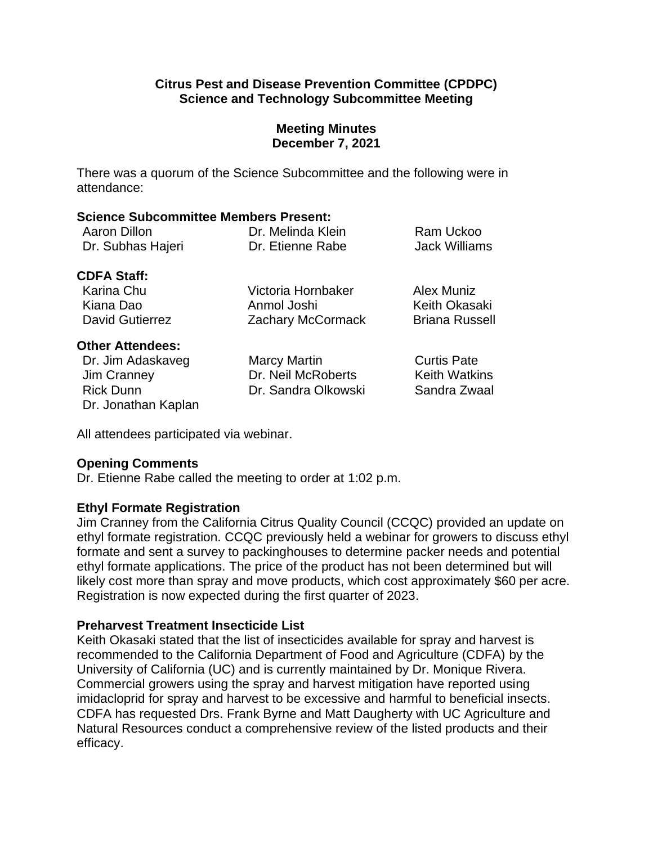### **Citrus Pest and Disease Prevention Committee (CPDPC) Science and Technology Subcommittee Meeting**

## **Meeting Minutes December 7, 2021**

There was a quorum of the Science Subcommittee and the following were in attendance:

### **Science Subcommittee Members Present:**

| Aaron Dillon                     | Dr. Melinda Klein  | Ram Uckoo            |
|----------------------------------|--------------------|----------------------|
| Dr. Subhas Hajeri                | Dr. Etienne Rabe   | <b>Jack Williams</b> |
| <b>CDFA Staff:</b><br>Karina Chu | Victoria Hornbaker | Alex Muniz           |

| Karina Chu             | Victoria Hornbaker       | Alex Muniz            |
|------------------------|--------------------------|-----------------------|
| Kiana Dao              | Anmol Joshi              | Keith Okasaki         |
| <b>David Gutierrez</b> | <b>Zachary McCormack</b> | <b>Briana Russell</b> |

## **Other Attendees:**

Dr. Jim Adaskaveg Jim Cranney Rick Dunn Dr. Jonathan Kaplan Marcy Martin Dr. Neil McRoberts Dr. Sandra Olkowski

Curtis Pate Keith Watkins Sandra Zwaal

All attendees participated via webinar.

# **Opening Comments**

Dr. Etienne Rabe called the meeting to order at 1:02 p.m.

# **Ethyl Formate Registration**

 Jim Cranney from the California Citrus Quality Council (CCQC) provided an update on ethyl formate registration. CCQC previously held a webinar for growers to discuss ethyl formate and sent a survey to packinghouses to determine packer needs and potential ethyl formate applications. The price of the product has not been determined but will likely cost more than spray and move products, which cost approximately \$60 per acre. Registration is now expected during the first quarter of 2023.

# **Preharvest Treatment Insecticide List**

 imidacloprid for spray and harvest to be excessive and harmful to beneficial insects. Keith Okasaki stated that the list of insecticides available for spray and harvest is recommended to the California Department of Food and Agriculture (CDFA) by the University of California (UC) and is currently maintained by Dr. Monique Rivera. Commercial growers using the spray and harvest mitigation have reported using CDFA has requested Drs. Frank Byrne and Matt Daugherty with UC Agriculture and Natural Resources conduct a comprehensive review of the listed products and their efficacy.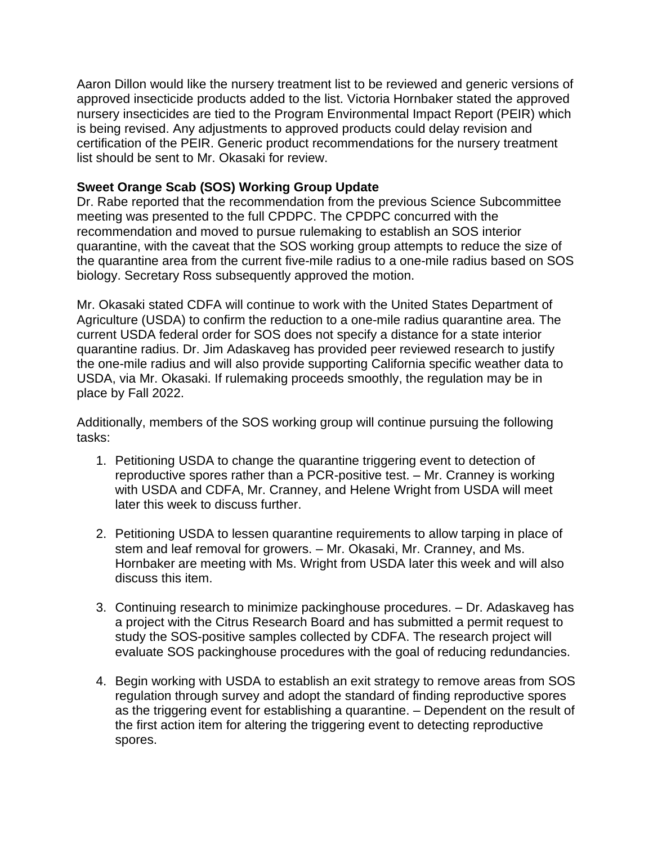Aaron Dillon would like the nursery treatment list to be reviewed and generic versions of approved insecticide products added to the list. Victoria Hornbaker stated the approved nursery insecticides are tied to the Program Environmental Impact Report (PEIR) which is being revised. Any adjustments to approved products could delay revision and certification of the PEIR. Generic product recommendations for the nursery treatment list should be sent to Mr. Okasaki for review.

### **Sweet Orange Scab (SOS) Working Group Update**

 Dr. Rabe reported that the recommendation from the previous Science Subcommittee meeting was presented to the full CPDPC. The CPDPC concurred with the recommendation and moved to pursue rulemaking to establish an SOS interior the quarantine area from the current five-mile radius to a one-mile radius based on SOS quarantine, with the caveat that the SOS working group attempts to reduce the size of biology. Secretary Ross subsequently approved the motion.

 Agriculture (USDA) to confirm the reduction to a one-mile radius quarantine area. The Mr. Okasaki stated CDFA will continue to work with the United States Department of current USDA federal order for SOS does not specify a distance for a state interior quarantine radius. Dr. Jim Adaskaveg has provided peer reviewed research to justify the one-mile radius and will also provide supporting California specific weather data to USDA, via Mr. Okasaki. If rulemaking proceeds smoothly, the regulation may be in place by Fall 2022.

Additionally, members of the SOS working group will continue pursuing the following tasks:

- 1. Petitioning USDA to change the quarantine triggering event to detection of reproductive spores rather than a PCR-positive test. – Mr. Cranney is working with USDA and CDFA, Mr. Cranney, and Helene Wright from USDA will meet later this week to discuss further.
- 2. Petitioning USDA to lessen quarantine requirements to allow tarping in place of stem and leaf removal for growers. – Mr. Okasaki, Mr. Cranney, and Ms. Hornbaker are meeting with Ms. Wright from USDA later this week and will also discuss this item.
- 3. Continuing research to minimize packinghouse procedures. Dr. Adaskaveg has a project with the Citrus Research Board and has submitted a permit request to study the SOS-positive samples collected by CDFA. The research project will evaluate SOS packinghouse procedures with the goal of reducing redundancies.
- 4. Begin working with USDA to establish an exit strategy to remove areas from SOS regulation through survey and adopt the standard of finding reproductive spores as the triggering event for establishing a quarantine. – Dependent on the result of the first action item for altering the triggering event to detecting reproductive spores.